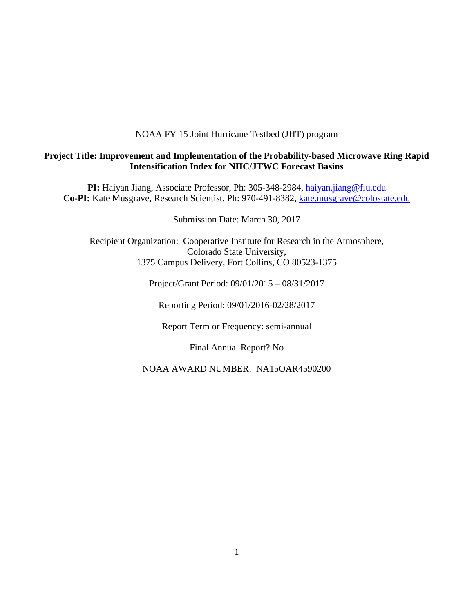NOAA FY 15 Joint Hurricane Testbed (JHT) program

### **Project Title: Improvement and Implementation of the Probability-based Microwave Ring Rapid Intensification Index for NHC/JTWC Forecast Basins**

**PI:** Haiyan Jiang, Associate Professor, Ph: 305-348-2984, [haiyan.jiang@fiu.edu](mailto:h.jiang@utah.edu) Co-PI: Kate Musgrave, Research Scientist, Ph: 970-491-8382, [kate.musgrave@colostate.edu](mailto:kate.musgrave@colostate.edu)

Submission Date: March 30, 2017

Recipient Organization: Cooperative Institute for Research in the Atmosphere, Colorado State University, 1375 Campus Delivery, Fort Collins, CO 80523-1375

Project/Grant Period: 09/01/2015 – 08/31/2017

Reporting Period: 09/01/2016-02/28/2017

Report Term or Frequency: semi-annual

Final Annual Report? No

NOAA AWARD NUMBER: NA15OAR4590200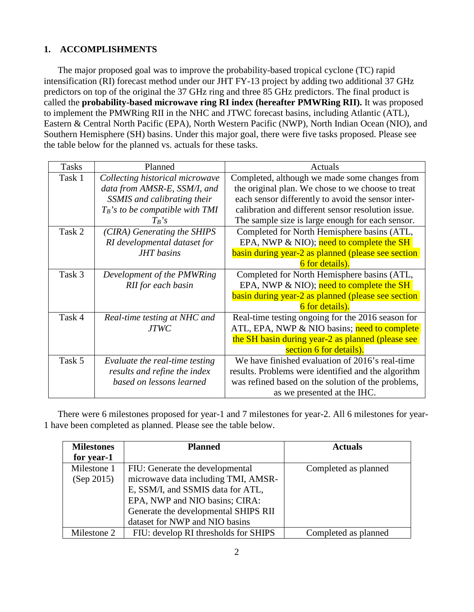# **1. ACCOMPLISHMENTS**

The major proposed goal was to improve the probability-based tropical cyclone (TC) rapid intensification (RI) forecast method under our JHT FY-13 project by adding two additional 37 GHz predictors on top of the original the 37 GHz ring and three 85 GHz predictors. The final product is called the **probability-based microwave ring RI index (hereafter PMWRing RII).** It was proposed to implement the PMWRing RII in the NHC and JTWC forecast basins, including Atlantic (ATL), Eastern & Central North Pacific (EPA), North Western Pacific (NWP), North Indian Ocean (NIO), and Southern Hemisphere (SH) basins. Under this major goal, there were five tasks proposed. Please see the table below for the planned vs. actuals for these tasks.

| <b>Tasks</b> | Planned                            | Actuals                                             |
|--------------|------------------------------------|-----------------------------------------------------|
| Task 1       | Collecting historical microwave    | Completed, although we made some changes from       |
|              | data from AMSR-E, SSM/I, and       | the original plan. We chose to we choose to treat   |
|              | SSMIS and calibrating their        | each sensor differently to avoid the sensor inter-  |
|              | $T_B$ 's to be compatible with TMI | calibration and different sensor resolution issue.  |
|              | $T_B$ 's                           | The sample size is large enough for each sensor.    |
| Task 2       | (CIRA) Generating the SHIPS        | Completed for North Hemisphere basins (ATL,         |
|              | RI developmental dataset for       | EPA, NWP & NIO); need to complete the SH            |
|              | <b>JHT</b> basins                  | basin during year-2 as planned (please see section  |
|              |                                    | 6 for details).                                     |
| Task 3       | Development of the PMWRing         | Completed for North Hemisphere basins (ATL,         |
|              | RII for each basin                 | EPA, NWP $& NIO$ ; need to complete the SH          |
|              |                                    | basin during year-2 as planned (please see section  |
|              |                                    | 6 for details).                                     |
| Task 4       | Real-time testing at NHC and       | Real-time testing ongoing for the 2016 season for   |
|              | <b>JTWC</b>                        | ATL, EPA, NWP & NIO basins; need to complete        |
|              |                                    | the SH basin during year-2 as planned (please see   |
|              |                                    | section 6 for details).                             |
| Task 5       | Evaluate the real-time testing     | We have finished evaluation of 2016's real-time     |
|              | results and refine the index       | results. Problems were identified and the algorithm |
|              | based on lessons learned           | was refined based on the solution of the problems,  |
|              |                                    | as we presented at the IHC.                         |

There were 6 milestones proposed for year-1 and 7 milestones for year-2. All 6 milestones for year-1 have been completed as planned. Please see the table below.

| <b>Milestones</b> | <b>Planned</b>                       | <b>Actuals</b>       |
|-------------------|--------------------------------------|----------------------|
| for year-1        |                                      |                      |
| Milestone 1       | FIU: Generate the developmental      | Completed as planned |
| (Sep 2015)        | microwave data including TMI, AMSR-  |                      |
|                   | E, SSM/I, and SSMIS data for ATL,    |                      |
|                   | EPA, NWP and NIO basins; CIRA:       |                      |
|                   | Generate the developmental SHIPS RII |                      |
|                   | dataset for NWP and NIO basins       |                      |
| Milestone 2       | FIU: develop RI thresholds for SHIPS | Completed as planned |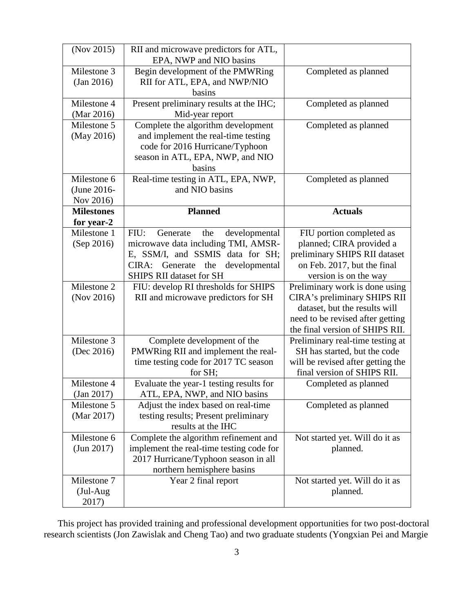| (Nov 2015)        | RII and microwave predictors for ATL,           |                                                                  |
|-------------------|-------------------------------------------------|------------------------------------------------------------------|
|                   | EPA, NWP and NIO basins                         |                                                                  |
| Milestone 3       | Begin development of the PMWRing                | Completed as planned                                             |
| (Jan 2016)        | RII for ATL, EPA, and NWP/NIO                   |                                                                  |
|                   | basins                                          |                                                                  |
| Milestone 4       | Present preliminary results at the IHC;         | Completed as planned                                             |
| (Mar 2016)        | Mid-year report                                 |                                                                  |
| Milestone 5       | Complete the algorithm development              | Completed as planned                                             |
| (May 2016)        | and implement the real-time testing             |                                                                  |
|                   | code for 2016 Hurricane/Typhoon                 |                                                                  |
|                   | season in ATL, EPA, NWP, and NIO                |                                                                  |
|                   | basins                                          |                                                                  |
| Milestone 6       | Real-time testing in ATL, EPA, NWP,             | Completed as planned                                             |
| (June 2016-       | and NIO basins                                  |                                                                  |
| Nov 2016)         |                                                 |                                                                  |
| <b>Milestones</b> | <b>Planned</b>                                  | <b>Actuals</b>                                                   |
| for year-2        |                                                 |                                                                  |
| Milestone 1       | Generate<br>FIU:<br>the<br>developmental        | FIU portion completed as                                         |
| (Sep 2016)        | microwave data including TMI, AMSR-             | planned; CIRA provided a                                         |
|                   | E, SSM/I, and SSMIS data for SH;                | preliminary SHIPS RII dataset                                    |
|                   | CIRA:<br>Generate<br>the<br>developmental       | on Feb. 2017, but the final                                      |
|                   | <b>SHIPS RII dataset for SH</b>                 | version is on the way                                            |
| Milestone 2       | FIU: develop RI thresholds for SHIPS            | Preliminary work is done using                                   |
| (Nov 2016)        | RII and microwave predictors for SH             | CIRA's preliminary SHIPS RII                                     |
|                   |                                                 | dataset, but the results will                                    |
|                   |                                                 | need to be revised after getting                                 |
|                   |                                                 | the final version of SHIPS RII.                                  |
| Milestone 3       | Complete development of the                     | Preliminary real-time testing at                                 |
| (Dec 2016)        | PMWRing RII and implement the real-             | SH has started, but the code                                     |
|                   | time testing code for 2017 TC season<br>for SH; | will be revised after getting the<br>final version of SHIPS RII. |
| Milestone 4       | Evaluate the year-1 testing results for         |                                                                  |
| (Jan 2017)        | ATL, EPA, NWP, and NIO basins                   | Completed as planned                                             |
| Milestone 5       | Adjust the index based on real-time             | Completed as planned                                             |
| (Mar 2017)        | testing results; Present preliminary            |                                                                  |
|                   | results at the IHC                              |                                                                  |
| Milestone 6       | Complete the algorithm refinement and           | Not started yet. Will do it as                                   |
| (Jun 2017)        | implement the real-time testing code for        | planned.                                                         |
|                   | 2017 Hurricane/Typhoon season in all            |                                                                  |
|                   | northern hemisphere basins                      |                                                                  |
| Milestone 7       | Year 2 final report                             | Not started yet. Will do it as                                   |
| $(Jul-Aug)$       |                                                 | planned.                                                         |
| 2017)             |                                                 |                                                                  |
|                   |                                                 |                                                                  |

This project has provided training and professional development opportunities for two post-doctoral research scientists (Jon Zawislak and Cheng Tao) and two graduate students (Yongxian Pei and Margie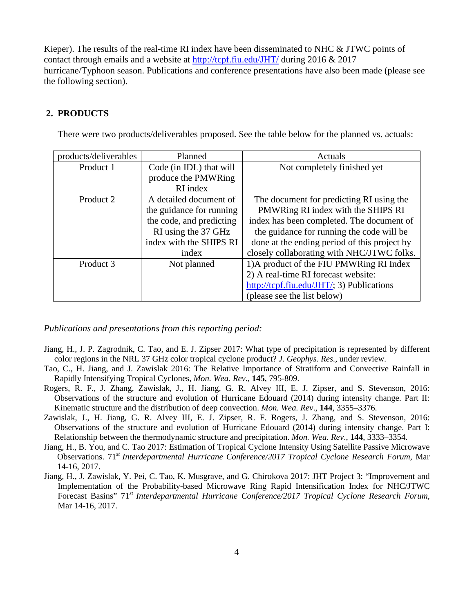Kieper). The results of the real-time RI index have been disseminated to NHC & JTWC points of contact through emails and a website at<http://tcpf.fiu.edu/JHT/> during 2016 & 2017 hurricane/Typhoon season. Publications and conference presentations have also been made (please see the following section).

#### **2. PRODUCTS**

There were two products/deliverables proposed. See the table below for the planned vs. actuals:

| products/deliverables | Planned                  | Actuals                                                                      |
|-----------------------|--------------------------|------------------------------------------------------------------------------|
| Product 1             | Code (in IDL) that will  | Not completely finished yet                                                  |
|                       | produce the PMWRing      |                                                                              |
|                       | RI index                 |                                                                              |
| Product 2             | A detailed document of   | The document for predicting RI using the                                     |
|                       | the guidance for running | PMWRing RI index with the SHIPS RI                                           |
|                       | the code, and predicting | index has been completed. The document of                                    |
|                       | RI using the 37 GHz      | the guidance for running the code will be                                    |
|                       | index with the SHIPS RI  | done at the ending period of this project by                                 |
|                       | index                    | closely collaborating with NHC/JTWC folks.                                   |
| Product 3             | Not planned              | 1) A product of the FIU PMWRing RI Index                                     |
|                       |                          | 2) A real-time RI forecast website:                                          |
|                       |                          | $\frac{http://tcpf.fiu.edu/JHT/3)}{http://tcpf.fiu.edu/JHT/3)}$ Publications |
|                       |                          | (please see the list below)                                                  |

*Publications and presentations from this reporting period:*

- Jiang, H., J. P. Zagrodnik, C. Tao, and E. J. Zipser 2017: What type of precipitation is represented by different color regions in the NRL 37 GHz color tropical cyclone product? *J. Geophys. Res.*, under review.
- Tao, C., H. Jiang, and J. Zawislak 2016: The Relative Importance of Stratiform and Convective Rainfall in Rapidly Intensifying Tropical Cyclones, *Mon. Wea. Rev*., **145**, 795-809.
- Rogers, R. F., J. Zhang, Zawislak, J., H. Jiang, G. R. Alvey III, E. J. Zipser, and S. Stevenson, 2016: Observations of the structure and evolution of Hurricane Edouard (2014) during intensity change. Part II: Kinematic structure and the distribution of deep convection. *Mon. Wea. Rev*., **144**, 3355–3376.
- Zawislak, J., H. Jiang, G. R. Alvey III, E. J. Zipser, R. F. Rogers, J. Zhang, and S. Stevenson, 2016: Observations of the structure and evolution of Hurricane Edouard (2014) during intensity change. Part I: Relationship between the thermodynamic structure and precipitation. *Mon. Wea. Rev*., **144**, 3333–3354.
- Jiang, H., B. You, and C. Tao 2017: Estimation of Tropical Cyclone Intensity Using Satellite Passive Microwave Observations. 71*st Interdepartmental Hurricane Conference/2017 Tropical Cyclone Research Forum*, Mar 14-16, 2017.
- Jiang, H., J. Zawislak, Y. Pei, C. Tao, K. Musgrave, and G. Chirokova 2017: JHT Project 3: "Improvement and Implementation of the Probability-based Microwave Ring Rapid Intensification Index for NHC/JTWC Forecast Basins" 71*st Interdepartmental Hurricane Conference/2017 Tropical Cyclone Research Forum*, Mar 14-16, 2017.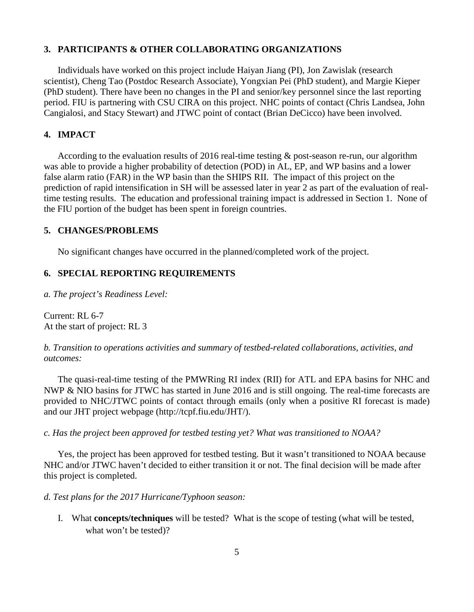#### **3. PARTICIPANTS & OTHER COLLABORATING ORGANIZATIONS**

Individuals have worked on this project include Haiyan Jiang (PI), Jon Zawislak (research scientist), Cheng Tao (Postdoc Research Associate), Yongxian Pei (PhD student), and Margie Kieper (PhD student). There have been no changes in the PI and senior/key personnel since the last reporting period. FIU is partnering with CSU CIRA on this project. NHC points of contact (Chris Landsea, John Cangialosi, and Stacy Stewart) and JTWC point of contact (Brian DeCicco) have been involved.

# **4. IMPACT**

According to the evaluation results of 2016 real-time testing & post-season re-run, our algorithm was able to provide a higher probability of detection (POD) in AL, EP, and WP basins and a lower false alarm ratio (FAR) in the WP basin than the SHIPS RII. The impact of this project on the prediction of rapid intensification in SH will be assessed later in year 2 as part of the evaluation of realtime testing results. The education and professional training impact is addressed in Section 1. None of the FIU portion of the budget has been spent in foreign countries.

#### **5. CHANGES/PROBLEMS**

No significant changes have occurred in the planned/completed work of the project.

#### **6. SPECIAL REPORTING REQUIREMENTS**

*a. The project's Readiness Level:*

Current: RL 6-7 At the start of project: RL 3

*b. Transition to operations activities and summary of testbed-related collaborations, activities, and outcomes:* 

The quasi-real-time testing of the PMWRing RI index (RII) for ATL and EPA basins for NHC and NWP & NIO basins for JTWC has started in June 2016 and is still ongoing. The real-time forecasts are provided to NHC/JTWC points of contact through emails (only when a positive RI forecast is made) and our JHT project webpage (http://tcpf.fiu.edu/JHT/).

*c. Has the project been approved for testbed testing yet? What was transitioned to NOAA?*

Yes, the project has been approved for testbed testing. But it wasn't transitioned to NOAA because NHC and/or JTWC haven't decided to either transition it or not. The final decision will be made after this project is completed.

*d. Test plans for the 2017 Hurricane/Typhoon season:*

I. What **concepts/techniques** will be tested? What is the scope of testing (what will be tested, what won't be tested)?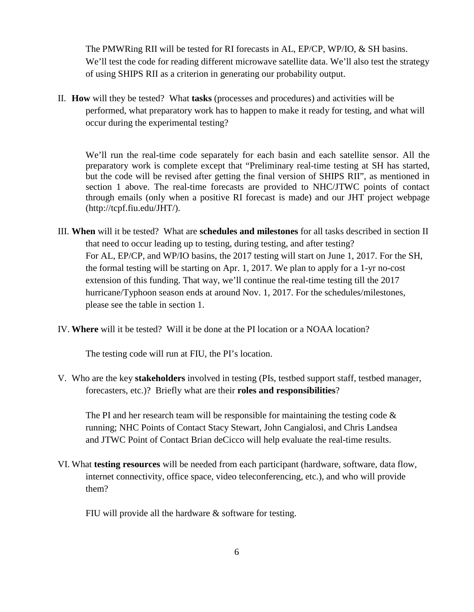The PMWRing RII will be tested for RI forecasts in AL, EP/CP, WP/IO, & SH basins. We'll test the code for reading different microwave satellite data. We'll also test the strategy of using SHIPS RII as a criterion in generating our probability output.

II. **How** will they be tested? What **tasks** (processes and procedures) and activities will be performed, what preparatory work has to happen to make it ready for testing, and what will occur during the experimental testing?

We'll run the real-time code separately for each basin and each satellite sensor. All the preparatory work is complete except that "Preliminary real-time testing at SH has started, but the code will be revised after getting the final version of SHIPS RII", as mentioned in section 1 above. The real-time forecasts are provided to NHC/JTWC points of contact through emails (only when a positive RI forecast is made) and our JHT project webpage (http://tcpf.fiu.edu/JHT/).

- III. **When** will it be tested? What are **schedules and milestones** for all tasks described in section II that need to occur leading up to testing, during testing, and after testing? For AL, EP/CP, and WP/IO basins, the 2017 testing will start on June 1, 2017. For the SH, the formal testing will be starting on Apr. 1, 2017. We plan to apply for a 1-yr no-cost extension of this funding. That way, we'll continue the real-time testing till the 2017 hurricane/Typhoon season ends at around Nov. 1, 2017. For the schedules/milestones, please see the table in section 1.
- IV. **Where** will it be tested? Will it be done at the PI location or a NOAA location?

The testing code will run at FIU, the PI's location.

V. Who are the key **stakeholders** involved in testing (PIs, testbed support staff, testbed manager, forecasters, etc.)? Briefly what are their **roles and responsibilities**?

The PI and her research team will be responsible for maintaining the testing code  $\&$ running; NHC Points of Contact Stacy Stewart, John Cangialosi, and Chris Landsea and JTWC Point of Contact Brian deCicco will help evaluate the real-time results.

VI. What **testing resources** will be needed from each participant (hardware, software, data flow, internet connectivity, office space, video teleconferencing, etc.), and who will provide them?

FIU will provide all the hardware  $\&$  software for testing.